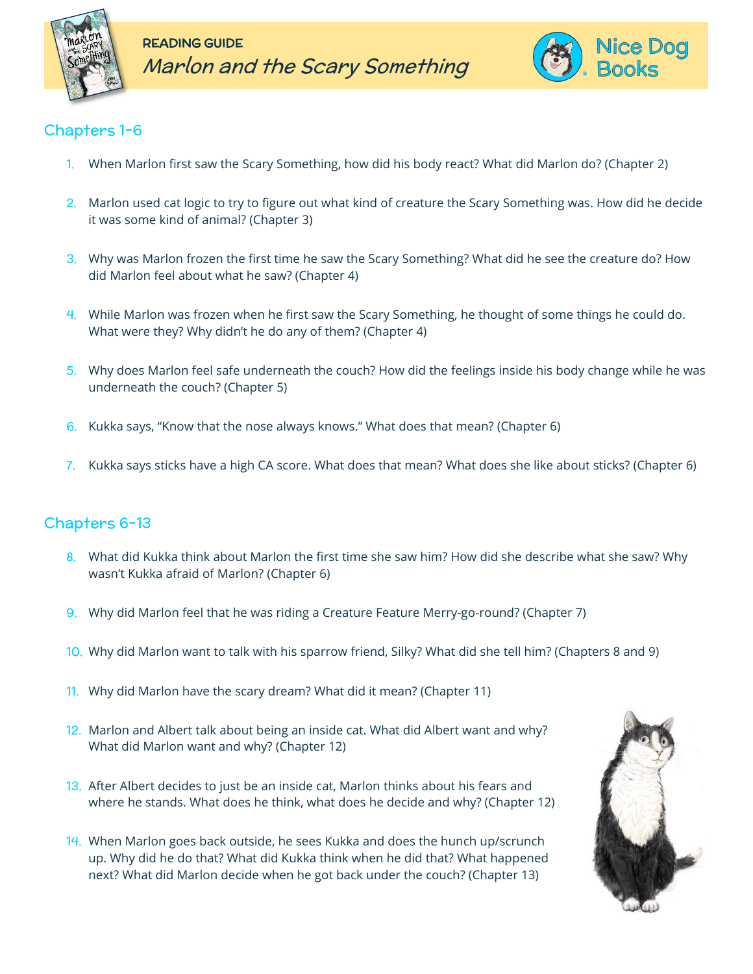



## Chapters 1-6

- 1. When Marlon first saw the Scary Something, how did his body react? What did Marlon do? (Chapter 2)
- 2. Marlon used cat logic to try to figure out what kind of creature the Scary Something was. How did he decide it was some kind of animal? (Chapter 3)
- 3. Why was Marlon frozen the first time he saw the Scary Something? What did he see the creature do? How did Marlon feel about what he saw? (Chapter 4)
- 4. While Marlon was frozen when he first saw the Scary Something, he thought of some things he could do. What were they? Why didn't he do any of them? (Chapter 4)
- 5. Why does Marlon feel safe underneath the couch? How did the feelings inside his body change while he was underneath the couch? (Chapter 5)
- 6. Kukka says, "Know that the nose always knows." What does that mean? (Chapter 6)
- 7. Kukka says sticks have a high CA score. What does that mean? What does she like about sticks? (Chapter 6)

## Chapters 6-13

- 8. What did Kukka think about Marlon the first time she saw him? How did she describe what she saw? Why wasn't Kukka afraid of Marlon? (Chapter 6)
- 9. Why did Marlon feel that he was riding a Creature Feature Merry-go-round? (Chapter 7)
- 10. Why did Marlon want to talk with his sparrow friend, Silky? What did she tell him? (Chapters 8 and 9)
- 11. Why did Marlon have the scary dream? What did it mean? (Chapter 11)
- 12. Marlon and Albert talk about being an inside cat. What did Albert want and why? What did Marlon want and why? (Chapter 12)
- 13. After Albert decides to just be an inside cat, Marlon thinks about his fears and where he stands. What does he think, what does he decide and why? (Chapter 12)
- 14. When Marlon goes back outside, he sees Kukka and does the hunch up/scrunch up. Why did he do that? What did Kukka think when he did that? What happened next? What did Marlon decide when he got back under the couch? (Chapter 13)